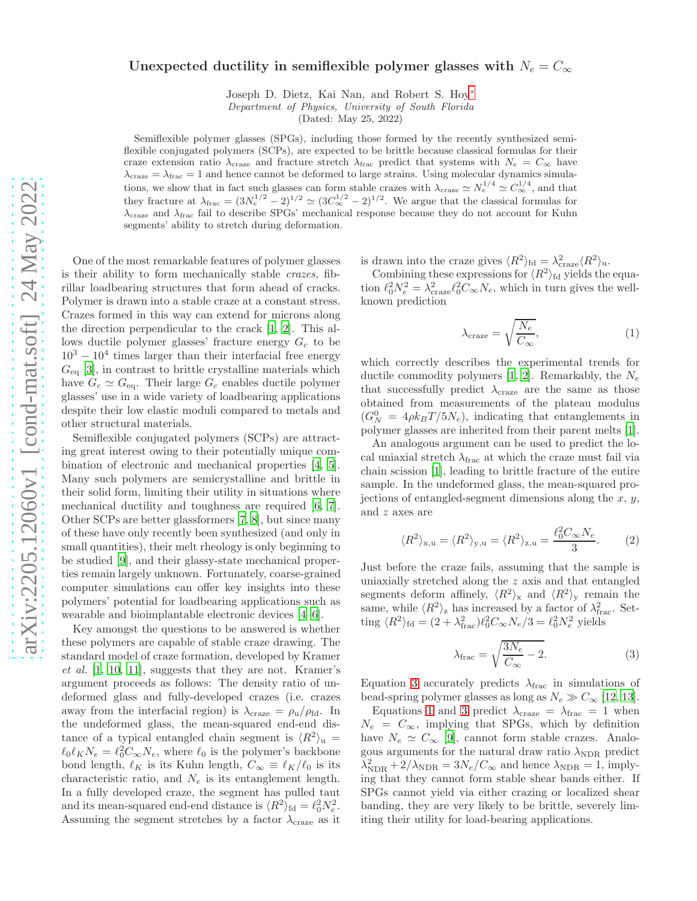## Unexpected ductility in semiflexible polymer glasses with  $N_e = C_{\infty}$

Joseph D. Dietz, Kai Nan, and Robert S. Hoy[∗](#page-4-0)

Department of Physics, University of South Florida

(Dated: May 25, 2022)

Semiflexible polymer glasses (SPGs), including those formed by the recently synthesized semiflexible conjugated polymers (SCPs), are expected to be brittle because classical formulas for their craze extension ratio  $\lambda_{\text{craze}}$  and fracture stretch  $\lambda_{\text{frac}}$  predict that systems with  $N_e = C_{\infty}$  have  $\lambda_{\text{craze}} = \lambda_{\text{frac}} = 1$  and hence cannot be deformed to large strains. Using molecular dynamics simulations, we show that in fact such glasses can form stable crazes with  $\lambda_{\text{craze}} \simeq N_e^{1/4} \simeq C_{\infty}^{1/4}$ , and that they fracture at  $\lambda_{\text{frac}} = (3N_e^{1/2} - 2)^{1/2} \simeq (3C_{\infty}^{1/2} - 2)^{1/2}$ . We argue that the classical formulas for  $\lambda_{\text{craze}}$  and  $\lambda_{\text{frac}}$  fail to describe SPGs' mechanical response because they do not account for Kuhn segments' ability to stretch during deformation.

One of the most remarkable features of polymer glasses is their ability to form mechanically stable crazes, fibrillar loadbearing structures that form ahead of cracks. Polymer is drawn into a stable craze at a constant stress. Crazes formed in this way can extend for microns along the direction perpendicular to the crack [\[1,](#page-4-1) [2](#page-4-2)]. This allows ductile polymer glasses' fracture energy  $G_c$  to be  $10^3 - 10^4$  times larger than their interfacial free energy  $G_{\text{eq}}$  [\[3](#page-4-3)], in contrast to brittle crystalline materials which have  $G_c \simeq G_{\text{eq}}$ . Their large  $G_c$  enables ductile polymer glasses' use in a wide variety of loadbearing applications despite their low elastic moduli compared to metals and other structural materials.

Semiflexible conjugated polymers (SCPs) are attracting great interest owing to their potentially unique combination of electronic and mechanical properties [\[4](#page-4-4), [5\]](#page-4-5). Many such polymers are semicrystalline and brittle in their solid form, limiting their utility in situations where mechanical ductility and toughness are required [\[6](#page-4-6), [7\]](#page-4-7). Other SCPs are better glassformers [\[7,](#page-4-7) [8](#page-4-8)], but since many of these have only recently been synthesized (and only in small quantities), their melt rheology is only beginning to be studied [\[9](#page-4-9)], and their glassy-state mechanical properties remain largely unknown. Fortunately, coarse-grained computer simulations can offer key insights into these polymers' potential for loadbearing applications such as wearable and bioimplantable electronic devices [\[4](#page-4-4)[–6](#page-4-6)].

Key amongst the questions to be answered is whether these polymers are capable of stable craze drawing. The standard model of craze formation, developed by Kramer  $et \ al.$  [\[1,](#page-4-1) [10,](#page-4-10) [11\]](#page-4-11), suggests that they are not. Kramer's argument proceeds as follows: The density ratio of undeformed glass and fully-developed crazes (i.e. crazes away from the interfacial region) is  $\lambda_{\text{craze}} = \rho_{\text{u}}/\rho_{\text{fd}}$ . In the undeformed glass, the mean-squared end-end distance of a typical entangled chain segment is  $\langle R^2 \rangle_u =$  $\ell_0 \ell_K N_e = \ell_0^2 C_\infty N_e$ , where  $\ell_0$  is the polymer's backbone bond length,  $\ell_K$  is its Kuhn length,  $C_\infty \equiv \ell_K/\ell_0$  is its characteristic ratio, and  $N_e$  is its entanglement length. In a fully developed craze, the segment has pulled taut and its mean-squared end-end distance is  $\langle R^2 \rangle_{\text{fd}} = \ell_0^2 N_e^2$ . Assuming the segment stretches by a factor  $\lambda_{\text{craze}}$  as it

is drawn into the craze gives  $\langle R^2 \rangle_{\text{fd}} = \lambda_{\text{craze}}^2 \langle R^2 \rangle_{\text{u}}$ .

Combining these expressions for  $\langle R^2 \rangle_{\text{fd}}$  yields the equation  $\ell_0^2 N_e^2 = \lambda_{\text{craze}}^2 \ell_0^2 C_\infty N_e$ , which in turn gives the wellknown prediction

<span id="page-0-1"></span>
$$
\lambda_{\text{craze}} = \sqrt{\frac{N_e}{C_{\infty}}},\tag{1}
$$

which correctly describes the experimental trends for ductile commodity polymers [\[1,](#page-4-1) [2\]](#page-4-2). Remarkably, the  $N_e$ that successfully predict  $\lambda_{\text{craze}}$  are the same as those obtained from measurements of the plateau modulus  $(G_N^0 = 4\rho k_B T/5N_e)$ , indicating that entanglements in polymer glasses are inherited from their parent melts [\[1\]](#page-4-1).

An analogous argument can be used to predict the local uniaxial stretch  $\lambda_{\text{frac}}$  at which the craze must fail via chain scission [\[1\]](#page-4-1), leading to brittle fracture of the entire sample. In the undeformed glass, the mean-squared projections of entangled-segment dimensions along the  $x, y$ , and z axes are

$$
\langle R^2 \rangle_{\mathbf{x}, \mathbf{u}} = \langle R^2 \rangle_{\mathbf{y}, \mathbf{u}} = \langle R^2 \rangle_{\mathbf{z}, \mathbf{u}} = \frac{\ell_0^2 C_{\infty} N_e}{3}.
$$
 (2)

Just before the craze fails, assuming that the sample is uniaxially stretched along the z axis and that entangled segments deform affinely,  $\langle R^2 \rangle_x$  and  $\langle R^2 \rangle_y$  remain the same, while  $\langle R^2 \rangle_z$  has increased by a factor of  $\lambda_{\text{frac}}^2$ . Setting  $\langle R^2 \rangle_{\text{fd}} = (2 + \lambda_{\text{frac}}^2) \ell_0^2 C_{\infty} N_e / 3 = \ell_0^2 N_e^2$  yields

<span id="page-0-0"></span>
$$
\lambda_{\text{frac}} = \sqrt{\frac{3N_e}{C_{\infty}} - 2}.
$$
\n(3)

Equation [3](#page-0-0) accurately predicts  $\lambda_{\text{frac}}$  in simulations of bead-spring polymer glasses as long as  $N_e \gg C_\infty$  [\[12](#page-4-12), [13\]](#page-4-13).

Equations [1](#page-0-1) and [3](#page-0-0) predict  $\lambda_{\text{craze}} = \lambda_{\text{frac}} = 1$  when  $N_e = C_{\infty}$ , implying that SPGs, which by definition have  $N_e \simeq C_\infty$  [\[9\]](#page-4-9), cannot form stable crazes. Analogous arguments for the natural draw ratio  $\lambda_{NDR}$  predict  $\lambda_{\text{NDR}}^2 + 2/\lambda_{\text{NDR}} = 3N_e/C_\infty$  and hence  $\lambda_{\text{NDR}} = 1$ , implying that they cannot form stable shear bands either. If SPGs cannot yield via either crazing or localized shear banding, they are very likely to be brittle, severely limiting their utility for load-bearing applications.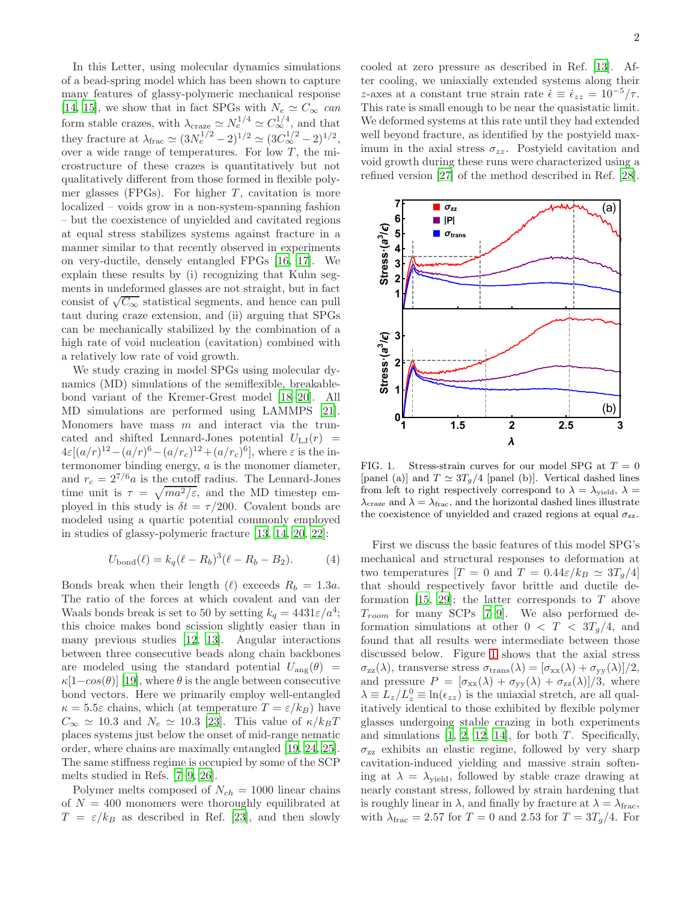In this Letter, using molecular dynamics simulations of a bead-spring model which has been shown to capture many features of glassy-polymeric mechanical response [\[14,](#page-4-14) [15](#page-4-15)], we show that in fact SPGs with  $N_e \simeq C_{\infty}$  can form stable crazes, with  $\lambda_{\text{craze}} \simeq N_e^{1/4} \simeq C_{\infty}^{1/4}$ , and that they fracture at  $\lambda_{\text{frac}} \simeq (3N_e^{1/2} - 2)^{1/2} \simeq (3C_\infty^{1/2} - 2)^{1/2}$ , over a wide range of temperatures. For low  $T$ , the microstructure of these crazes is quantitatively but not qualitatively different from those formed in flexible polymer glasses (FPGs). For higher  $T$ , cavitation is more localized – voids grow in a non-system-spanning fashion – but the coexistence of unyielded and cavitated regions at equal stress stabilizes systems against fracture in a manner similar to that recently observed in experiments on very-ductile, densely entangled FPGs [\[16,](#page-4-16) [17](#page-4-17)]. We explain these results by (i) recognizing that Kuhn segments in undeformed glasses are not straight, but in fact consist of  $\sqrt{C_{\infty}}$  statistical segments, and hence can pull taut during craze extension, and (ii) arguing that SPGs can be mechanically stabilized by the combination of a high rate of void nucleation (cavitation) combined with a relatively low rate of void growth.

We study crazing in model SPGs using molecular dynamics (MD) simulations of the semiflexible, breakablebond variant of the Kremer-Grest model [\[18](#page-4-18)[–20\]](#page-4-19). All MD simulations are performed using LAMMPS [\[21\]](#page-4-20). Monomers have mass  $m$  and interact via the truncated and shifted Lennard-Jones potential  $U_{LJ}(r)$  =  $4\varepsilon[(a/r)^{12} - (a/r)^6 - (a/r_c)^{12} + (a/r_c)^6]$ , where  $\varepsilon$  is the intermonomer binding energy, a is the monomer diameter, and  $r_c = 2^{7/6}a$  is the cutoff radius. The Lennard-Jones time unit is  $\tau = \sqrt{ma^2/\varepsilon}$ , and the MD timestep employed in this study is  $\delta t = \tau/200$ . Covalent bonds are modeled using a quartic potential commonly employed in studies of glassy-polymeric fracture [\[13,](#page-4-13) [14,](#page-4-14) [20,](#page-4-19) [22\]](#page-4-21):

$$
U_{\text{bond}}(\ell) = k_q (\ell - R_b)^3 (\ell - R_b - B_2). \tag{4}
$$

Bonds break when their length ( $\ell$ ) exceeds  $R_b = 1.3a$ . The ratio of the forces at which covalent and van der Waals bonds break is set to 50 by setting  $k_q = 4431\varepsilon/a^4$ ; this choice makes bond scission slightly easier than in many previous studies [\[12](#page-4-12), [13\]](#page-4-13). Angular interactions between three consecutive beads along chain backbones are modeled using the standard potential  $U_{\text{ang}}(\theta)$  =  $\kappa[1-cos(\theta)]$  [\[19\]](#page-4-22), where  $\theta$  is the angle between consecutive bond vectors. Here we primarily employ well-entangled  $\kappa = 5.5\varepsilon$  chains, which (at temperature  $T = \varepsilon/k_B$ ) have  $C_{\infty} \simeq 10.3$  and  $N_e \simeq 10.3$  [\[23\]](#page-4-23). This value of  $\kappa/k_BT$ places systems just below the onset of mid-range nematic order, where chains are maximally entangled [\[19](#page-4-22), [24,](#page-4-24) [25\]](#page-4-25). The same stiffness regime is occupied by some of the SCP melts studied in Refs. [\[7](#page-4-7)[–9,](#page-4-9) [26\]](#page-4-26).

Polymer melts composed of  $N_{ch} = 1000$  linear chains of  $N = 400$  monomers were thoroughly equilibrated at  $T = \varepsilon/k_B$  as described in Ref. [\[23\]](#page-4-23), and then slowly

cooled at zero pressure as described in Ref. [\[13\]](#page-4-13). After cooling, we uniaxially extended systems along their z-axes at a constant true strain rate  $\dot{\epsilon} \equiv \dot{\epsilon}_{zz} = 10^{-5}/\tau$ . This rate is small enough to be near the quasistatic limit. We deformed systems at this rate until they had extended well beyond fracture, as identified by the postyield maximum in the axial stress  $\sigma_{zz}$ . Postyield cavitation and void growth during these runs were characterized using a refined version [\[27](#page-4-27)] of the method described in Ref. [\[28\]](#page-4-28).



<span id="page-1-0"></span>FIG. 1. Stress-strain curves for our model SPG at  $T = 0$ [panel (a)] and  $T \simeq 3T_q/4$  [panel (b)]. Vertical dashed lines from left to right respectively correspond to  $\lambda = \lambda_{\text{yield}}, \lambda =$  $\lambda_{\text{craze}}$  and  $\lambda=\lambda_{\text{frac}},$  and the horizontal dashed lines illustrate the coexistence of unyielded and crazed regions at equal  $\sigma_{zz}$ .

First we discuss the basic features of this model SPG's mechanical and structural responses to deformation at two temperatures  $[T = 0$  and  $T = 0.44\varepsilon/k_B \simeq 3T_a/4$ that should respectively favor brittle and ductile de-formation [\[15](#page-4-15), [29](#page-4-29)]; the latter corresponds to  $T$  above  $T_{room}$  for many SCPs [\[7](#page-4-7)-9]. We also performed deformation simulations at other  $0 < T < 3T<sub>a</sub>/4$ , and found that all results were intermediate between those discussed below. Figure [1](#page-1-0) shows that the axial stress  $\sigma_{zz}(\lambda)$ , transverse stress  $\sigma_{trans}(\lambda) = [\sigma_{xx}(\lambda) + \sigma_{yy}(\lambda)]/2$ , and pressure  $P = [\sigma_{xx}(\lambda) + \sigma_{yy}(\lambda) + \sigma_{zz}(\lambda)]/3$ , where  $\lambda \equiv L_z/L_z^0 \equiv \ln(\epsilon_{zz})$  is the uniaxial stretch, are all qualitatively identical to those exhibited by flexible polymer glasses undergoing stable crazing in both experiments and simulations  $[1, 2, 12, 14]$  $[1, 2, 12, 14]$  $[1, 2, 12, 14]$  $[1, 2, 12, 14]$  $[1, 2, 12, 14]$  $[1, 2, 12, 14]$ , for both  $T$ . Specifically,  $\sigma_{zz}$  exhibits an elastic regime, followed by very sharp cavitation-induced yielding and massive strain softening at  $\lambda = \lambda_{\text{yield}}$ , followed by stable craze drawing at nearly constant stress, followed by strain hardening that is roughly linear in  $\lambda$ , and finally by fracture at  $\lambda = \lambda_{\text{frac}}$ , with  $\lambda_{\text{frac}} = 2.57$  for  $T = 0$  and 2.53 for  $T = 3T_g/4$ . For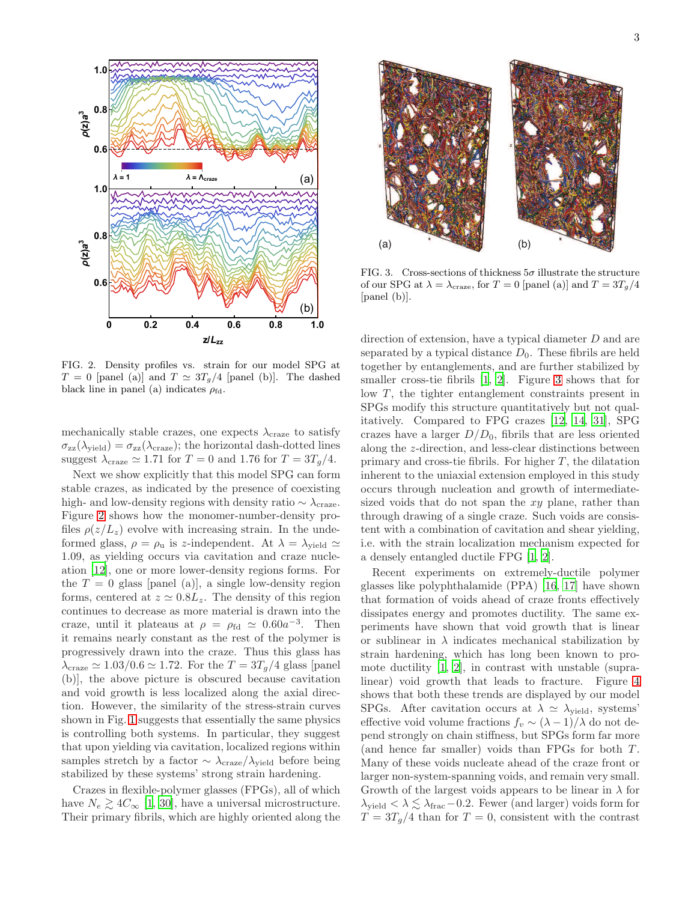

<span id="page-2-0"></span>FIG. 2. Density profiles vs. strain for our model SPG at  $T = 0$  [panel (a)] and  $T \simeq 3T_q/4$  [panel (b)]. The dashed black line in panel (a) indicates  $\rho_{\text{fd}}$ .

mechanically stable crazes, one expects  $\lambda_{\text{craze}}$  to satisfy  $\sigma_{zz}(\lambda_{\text{yield}}) = \sigma_{zz}(\lambda_{\text{craze}})$ ; the horizontal dash-dotted lines suggest  $\lambda_{\text{craze}} \simeq 1.71$  for  $T = 0$  and 1.76 for  $T = 3T_q/4$ .

Next we show explicitly that this model SPG can form stable crazes, as indicated by the presence of coexisting high- and low-density regions with density ratio  $\sim \lambda_{\text{craze}}$ . Figure [2](#page-2-0) shows how the monomer-number-density profiles  $\rho(z/L_z)$  evolve with increasing strain. In the undeformed glass,  $\rho = \rho_u$  is z-independent. At  $\lambda = \lambda_{yield} \simeq$ 1.09, as yielding occurs via cavitation and craze nucleation [\[12\]](#page-4-12), one or more lower-density regions forms. For the  $T = 0$  glass [panel (a)], a single low-density region forms, centered at  $z \approx 0.8L_z$ . The density of this region continues to decrease as more material is drawn into the craze, until it plateaus at  $\rho = \rho_{\text{fd}} \simeq 0.60a^{-3}$ . Then it remains nearly constant as the rest of the polymer is progressively drawn into the craze. Thus this glass has  $\lambda_{\text{craze}} \simeq 1.03/0.6 \simeq 1.72$ . For the  $T = 3T_q/4$  glass [panel (b)], the above picture is obscured because cavitation and void growth is less localized along the axial direction. However, the similarity of the stress-strain curves shown in Fig. [1](#page-1-0) suggests that essentially the same physics is controlling both systems. In particular, they suggest that upon yielding via cavitation, localized regions within samples stretch by a factor  $\sim \lambda_{\text{craze}}/\lambda_{\text{yield}}$  before being stabilized by these systems' strong strain hardening.

Crazes in flexible-polymer glasses (FPGs), all of which have  $N_e \geq 4C_\infty$  [\[1](#page-4-1), [30](#page-4-30)], have a universal microstructure. Their primary fibrils, which are highly oriented along the



<span id="page-2-1"></span>FIG. 3. Cross-sections of thickness  $5\sigma$  illustrate the structure of our SPG at  $\lambda = \lambda_{\text{craze}}$ , for  $T = 0$  [panel (a)] and  $T = 3T_g/4$ [panel (b)].

direction of extension, have a typical diameter D and are separated by a typical distance  $D_0$ . These fibrils are held together by entanglements, and are further stabilized by smaller cross-tie fibrils [\[1](#page-4-1), [2\]](#page-4-2). Figure [3](#page-2-1) shows that for low  $T$ , the tighter entanglement constraints present in SPGs modify this structure quantitatively but not qualitatively. Compared to FPG crazes [\[12](#page-4-12), [14,](#page-4-14) [31](#page-4-31)], SPG crazes have a larger  $D/D_0$ , fibrils that are less oriented along the z-direction, and less-clear distinctions between primary and cross-tie fibrils. For higher  $T$ , the dilatation inherent to the uniaxial extension employed in this study occurs through nucleation and growth of intermediatesized voids that do not span the  $xy$  plane, rather than through drawing of a single craze. Such voids are consistent with a combination of cavitation and shear yielding, i.e. with the strain localization mechanism expected for a densely entangled ductile FPG [\[1,](#page-4-1) [2\]](#page-4-2).

Recent experiments on extremely-ductile polymer glasses like polyphthalamide (PPA) [\[16,](#page-4-16) [17\]](#page-4-17) have shown that formation of voids ahead of craze fronts effectively dissipates energy and promotes ductility. The same experiments have shown that void growth that is linear or sublinear in  $\lambda$  indicates mechanical stabilization by strain hardening, which has long been known to promote ductility [\[1,](#page-4-1) [2\]](#page-4-2), in contrast with unstable (supralinear) void growth that leads to fracture. Figure [4](#page-3-0) shows that both these trends are displayed by our model SPGs. After cavitation occurs at  $\lambda \simeq \lambda_{\text{yield}}$ , systems' effective void volume fractions  $f_v \sim (\lambda - 1)/\lambda$  do not depend strongly on chain stiffness, but SPGs form far more (and hence far smaller) voids than FPGs for both  $T$ . Many of these voids nucleate ahead of the craze front or larger non-system-spanning voids, and remain very small. Growth of the largest voids appears to be linear in  $\lambda$  for  $\lambda_{\text{yield}} < \lambda \lesssim \lambda_{\text{frac}} - 0.2$ . Fewer (and larger) voids form for  $T = 3T_g/4$  than for  $T = 0$ , consistent with the contrast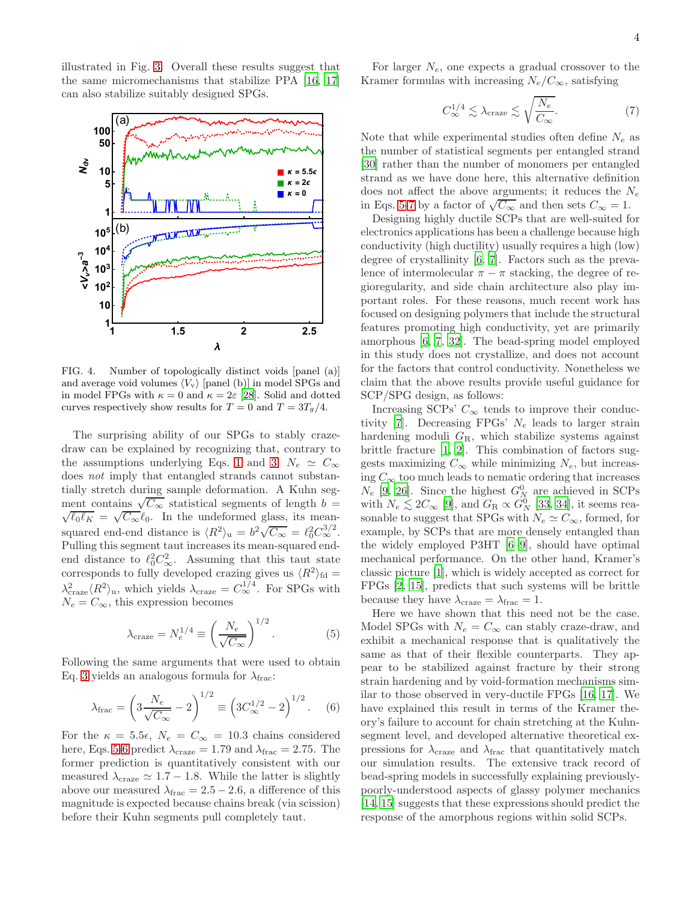4

illustrated in Fig. [3.](#page-2-1) Overall these results suggest that the same micromechanisms that stabilize PPA [\[16](#page-4-16), [17](#page-4-17)] can also stabilize suitably designed SPGs.



<span id="page-3-0"></span>FIG. 4. Number of topologically distinct voids [panel (a)] and average void volumes  $\langle V_{\rm v} \rangle$  [panel (b)] in model SPGs and in model FPGs with  $\kappa = 0$  and  $\kappa = 2\varepsilon$  [\[28](#page-4-28)]. Solid and dotted curves respectively show results for  $T = 0$  and  $T = 3T_g/4$ .

The surprising ability of our SPGs to stably crazedraw can be explained by recognizing that, contrary to the assumptions underlying Eqs. [1](#page-0-1) and [3,](#page-0-0)  $N_e \simeq C_{\infty}$ does not imply that entangled strands cannot substantially stretch during sample deformation. A Kuhn segment contains  $\sqrt{C_{\infty}}$  statistical segments of length  $b =$  $\ell_0 \ell_K = \sqrt{C_{\infty}} \ell_0$ . In the undeformed glass, its meansquared end-end distance is  $\langle R^2 \rangle_u = b^2 \sqrt{C_{\infty}} = \ell_0^2 C_{\infty}^{3/2}$ . Pulling this segment taut increases its mean-squared endend distance to  $\ell_0^2 C_\infty^2$ . Assuming that this taut state corresponds to fully developed crazing gives us  $\langle R^2 \rangle_{\text{fd}} =$  $\lambda_{\text{craze}}^2 \langle R^2 \rangle_{\text{u}}$ , which yields  $\lambda_{\text{craze}} = C_{\infty}^{1/4}$ . For SPGs with  $N_e = C_{\infty}$ , this expression becomes

<span id="page-3-1"></span>
$$
\lambda_{\text{craze}} = N_e^{1/4} \equiv \left(\frac{N_e}{\sqrt{C_\infty}}\right)^{1/2}.\tag{5}
$$

Following the same arguments that were used to obtain Eq. [3](#page-0-0) yields an analogous formula for  $\lambda_{\text{frac}}$ :

<span id="page-3-2"></span>
$$
\lambda_{\text{frac}} = \left(3 \frac{N_e}{\sqrt{C_{\infty}}} - 2\right)^{1/2} \equiv \left(3 C_{\infty}^{1/2} - 2\right)^{1/2}.
$$
 (6)

For the  $\kappa = 5.5\epsilon$ ,  $N_e = C_{\infty} = 10.3$  chains considered here, Eqs. [5-](#page-3-1)[6](#page-3-2) predict  $\lambda_{\text{craze}} = 1.79$  and  $\lambda_{\text{frac}} = 2.75$ . The former prediction is quantitatively consistent with our measured  $\lambda_{\text{craze}} \simeq 1.7 - 1.8$ . While the latter is slightly above our measured  $\lambda_{\text{frac}} = 2.5 - 2.6$ , a difference of this magnitude is expected because chains break (via scission) before their Kuhn segments pull completely taut.

For larger  $N_e$ , one expects a gradual crossover to the Kramer formulas with increasing  $N_e/C_\infty$ , satisfying

<span id="page-3-3"></span>
$$
C_{\infty}^{1/4} \lesssim \lambda_{\text{craze}} \lesssim \sqrt{\frac{N_e}{C_{\infty}}}.\tag{7}
$$

Note that while experimental studies often define  $N_e$  as the number of statistical segments per entangled strand [\[30\]](#page-4-30) rather than the number of monomers per entangled strand as we have done here, this alternative definition does not affect the above arguments; it reduces the  $N_e$ in Eqs. [5-](#page-3-1)[7](#page-3-3) by a factor of  $\sqrt{C_{\infty}}$  and then sets  $C_{\infty} = 1$ .

Designing highly ductile SCPs that are well-suited for electronics applications has been a challenge because high conductivity (high ductility) usually requires a high (low) degree of crystallinity [\[6,](#page-4-6) [7](#page-4-7)]. Factors such as the prevalence of intermolecular  $\pi - \pi$  stacking, the degree of regioregularity, and side chain architecture also play important roles. For these reasons, much recent work has focused on designing polymers that include the structural features promoting high conductivity, yet are primarily amorphous [\[6](#page-4-6), [7,](#page-4-7) [32\]](#page-4-32). The bead-spring model employed in this study does not crystallize, and does not account for the factors that control conductivity. Nonetheless we claim that the above results provide useful guidance for SCP/SPG design, as follows:

Increasing SCPs'  $C_{\infty}$  tends to improve their conduc-tivity [\[7\]](#page-4-7). Decreasing FPGs'  $N_e$  leads to larger strain hardening moduli  $G_{\rm R}$ , which stabilize systems against brittle fracture [\[1](#page-4-1), [2\]](#page-4-2). This combination of factors suggests maximizing  $C_{\infty}$  while minimizing  $N_e$ , but increasing  $C_{\infty}$  too much leads to nematic ordering that increases  $N_e$  [\[9](#page-4-9), [26\]](#page-4-26). Since the highest  $G_N^0$  are achieved in SCPs with  $N_e \lesssim 2C_\infty$  [\[9\]](#page-4-9), and  $G_R \propto G_N^0$  [\[33](#page-4-33), [34\]](#page-4-34), it seems reasonable to suggest that SPGs with  $N_e \simeq C_\infty$ , formed, for example, by SCPs that are more densely entangled than the widely employed P3HT [\[6](#page-4-6)[–9\]](#page-4-9), should have optimal mechanical performance. On the other hand, Kramer's classic picture [\[1](#page-4-1)], which is widely accepted as correct for FPGs [\[2,](#page-4-2) [15\]](#page-4-15), predicts that such systems will be brittle because they have  $\lambda_{\text{craze}} = \lambda_{\text{frac}} = 1$ .

Here we have shown that this need not be the case. Model SPGs with  $N_e = C_{\infty}$  can stably craze-draw, and exhibit a mechanical response that is qualitatively the same as that of their flexible counterparts. They appear to be stabilized against fracture by their strong strain hardening and by void-formation mechanisms similar to those observed in very-ductile FPGs [\[16,](#page-4-16) [17](#page-4-17)]. We have explained this result in terms of the Kramer theory's failure to account for chain stretching at the Kuhnsegment level, and developed alternative theoretical expressions for  $\lambda_{\text{craze}}$  and  $\lambda_{\text{frac}}$  that quantitatively match our simulation results. The extensive track record of bead-spring models in successfully explaining previouslypoorly-understood aspects of glassy polymer mechanics [\[14,](#page-4-14) [15\]](#page-4-15) suggests that these expressions should predict the response of the amorphous regions within solid SCPs.